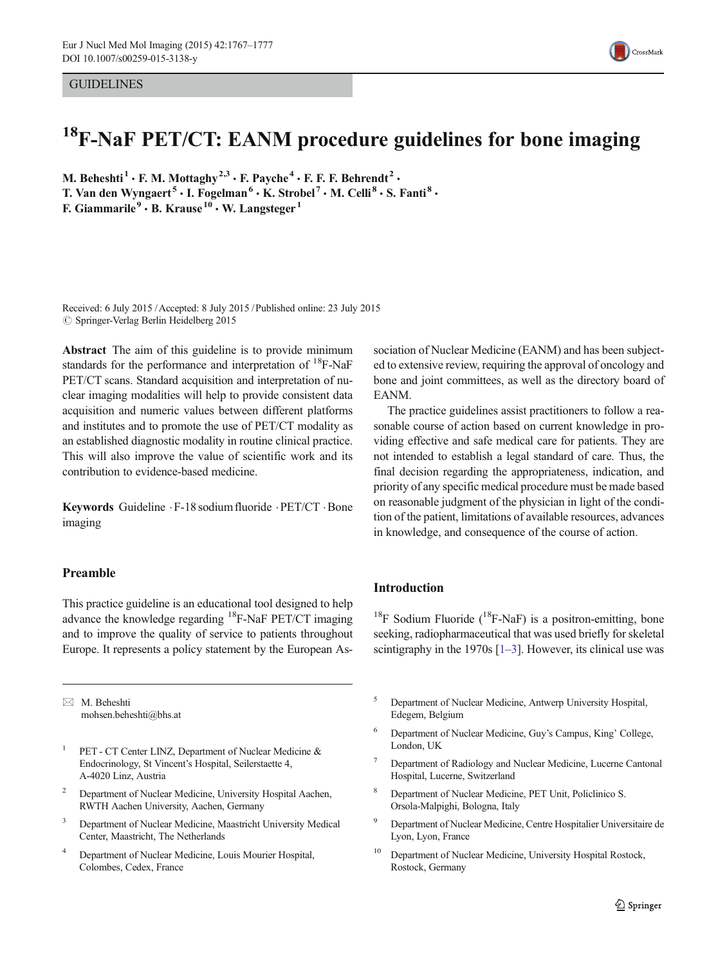#### **GUIDELINES**



# <sup>18</sup>F-NaF PET/CT: EANM procedure guidelines for bone imaging

M. Beheshti<sup>1</sup>  $\cdot$  F. M. Mottaghy<sup>2,3</sup>  $\cdot$  F. Payche<sup>4</sup>  $\cdot$  F. F. F. Behrendt<sup>2</sup>  $\cdot$ T. Van den Wyngaert<sup>5</sup>  $\cdot$  I. Fogelman<sup>6</sup>  $\cdot$  K. Strobel<sup>7</sup>  $\cdot$  M. Celli<sup>8</sup>  $\cdot$  S. Fanti<sup>8</sup> F. Giammarile<sup>9</sup>  $\cdot$  B. Krause<sup>10</sup>  $\cdot$  W. Langsteger<sup>1</sup>

Received: 6 July 2015 /Accepted: 8 July 2015 /Published online: 23 July 2015  $\oslash$  Springer-Verlag Berlin Heidelberg 2015

Abstract The aim of this guideline is to provide minimum standards for the performance and interpretation of  $^{18}$ F-NaF PET/CT scans. Standard acquisition and interpretation of nuclear imaging modalities will help to provide consistent data acquisition and numeric values between different platforms and institutes and to promote the use of PET/CT modality as an established diagnostic modality in routine clinical practice. This will also improve the value of scientific work and its contribution to evidence-based medicine.

Keywords Guideline .F-18 sodium fluoride .PET/CT .Bone imaging

### Preamble

This practice guideline is an educational tool designed to help advance the knowledge regarding  ${}^{18}$ F-NaF PET/CT imaging and to improve the quality of service to patients throughout Europe. It represents a policy statement by the European As-

 $\boxtimes$  M. Beheshti mohsen.beheshti@bhs.at

- <sup>1</sup> PET CT Center LINZ, Department of Nuclear Medicine & Endocrinology, St Vincent's Hospital, Seilerstaette 4, A-4020 Linz, Austria
- <sup>2</sup> Department of Nuclear Medicine, University Hospital Aachen, RWTH Aachen University, Aachen, Germany
- <sup>3</sup> Department of Nuclear Medicine, Maastricht University Medical Center, Maastricht, The Netherlands
- <sup>4</sup> Department of Nuclear Medicine, Louis Mourier Hospital, Colombes, Cedex, France

sociation of Nuclear Medicine (EANM) and has been subjected to extensive review, requiring the approval of oncology and bone and joint committees, as well as the directory board of EANM.

The practice guidelines assist practitioners to follow a reasonable course of action based on current knowledge in providing effective and safe medical care for patients. They are not intended to establish a legal standard of care. Thus, the final decision regarding the appropriateness, indication, and priority of any specific medical procedure must be made based on reasonable judgment of the physician in light of the condition of the patient, limitations of available resources, advances in knowledge, and consequence of the course of action.

### Introduction

<sup>18</sup>F Sodium Fluoride ( $^{18}$ F-NaF) is a positron-emitting, bone seeking, radiopharmaceutical that was used briefly for skeletal scintigraphy in the 1970s  $[1-3]$  $[1-3]$  $[1-3]$ . However, its clinical use was

- <sup>5</sup> Department of Nuclear Medicine, Antwerp University Hospital, Edegem, Belgium
- <sup>6</sup> Department of Nuclear Medicine, Guy's Campus, King' College, London, UK
- <sup>7</sup> Department of Radiology and Nuclear Medicine, Lucerne Cantonal Hospital, Lucerne, Switzerland
- <sup>8</sup> Department of Nuclear Medicine, PET Unit, Policlinico S. Orsola-Malpighi, Bologna, Italy
- <sup>9</sup> Department of Nuclear Medicine, Centre Hospitalier Universitaire de Lyon, Lyon, France
- <sup>10</sup> Department of Nuclear Medicine, University Hospital Rostock, Rostock, Germany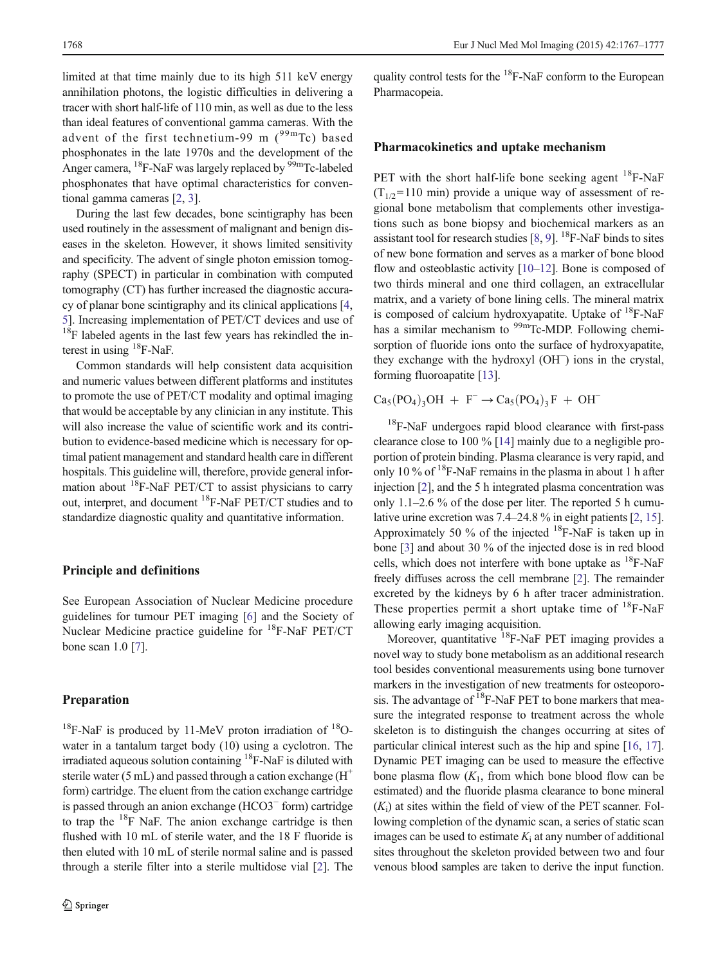limited at that time mainly due to its high 511 keV energy annihilation photons, the logistic difficulties in delivering a tracer with short half-life of 110 min, as well as due to the less than ideal features of conventional gamma cameras. With the advent of the first technetium-99 m  $(^{99}$ mTc) based phosphonates in the late 1970s and the development of the Anger camera, <sup>18</sup>F-NaF was largely replaced by <sup>99m</sup>Tc-labeled phosphonates that have optimal characteristics for conventional gamma cameras [\[2](#page-8-0), [3](#page-8-0)].

During the last few decades, bone scintigraphy has been used routinely in the assessment of malignant and benign diseases in the skeleton. However, it shows limited sensitivity and specificity. The advent of single photon emission tomography (SPECT) in particular in combination with computed tomography (CT) has further increased the diagnostic accuracy of planar bone scintigraphy and its clinical applications [[4,](#page-8-0) [5\]](#page-8-0). Increasing implementation of PET/CT devices and use of  $18F$  labeled agents in the last few years has rekindled the interest in using  ${}^{18}$ F-NaF.

Common standards will help consistent data acquisition and numeric values between different platforms and institutes to promote the use of PET/CT modality and optimal imaging that would be acceptable by any clinician in any institute. This will also increase the value of scientific work and its contribution to evidence-based medicine which is necessary for optimal patient management and standard health care in different hospitals. This guideline will, therefore, provide general information about  $^{18}$ F-NaF PET/CT to assist physicians to carry out, interpret, and document 18F-NaF PET/CT studies and to standardize diagnostic quality and quantitative information.

#### Principle and definitions

See European Association of Nuclear Medicine procedure guidelines for tumour PET imaging [\[6](#page-8-0)] and the Society of Nuclear Medicine practice guideline for <sup>18</sup>F-NaF PET/CT bone scan 1.0 [\[7](#page-8-0)].

### Preparation

 $18$ F-NaF is produced by 11-MeV proton irradiation of  $18$ Owater in a tantalum target body (10) using a cyclotron. The irradiated aqueous solution containing  ${}^{18}F$ -NaF is diluted with sterile water (5 mL) and passed through a cation exchange  $(H<sup>+</sup>)$ form) cartridge. The eluent from the cation exchange cartridge is passed through an anion exchange (HCO3<sup>−</sup> form) cartridge to trap the  $18$ F NaF. The anion exchange cartridge is then flushed with 10 mL of sterile water, and the 18 F fluoride is then eluted with 10 mL of sterile normal saline and is passed through a sterile filter into a sterile multidose vial [[2\]](#page-8-0). The quality control tests for the  ${}^{18}F$ -NaF conform to the European Pharmacopeia.

### Pharmacokinetics and uptake mechanism

PET with the short half-life bone seeking agent  $^{18}$ F-NaF  $(T_{1/2}=110 \text{ min})$  provide a unique way of assessment of regional bone metabolism that complements other investigations such as bone biopsy and biochemical markers as an assistant tool for research studies  $[8, 9]$  $[8, 9]$  $[8, 9]$ . <sup>18</sup>F-NaF binds to sites of new bone formation and serves as a marker of bone blood flow and osteoblastic activity [\[10](#page-8-0)–[12\]](#page-8-0). Bone is composed of two thirds mineral and one third collagen, an extracellular matrix, and a variety of bone lining cells. The mineral matrix is composed of calcium hydroxyapatite. Uptake of  $^{18}$ F-NaF has a similar mechanism to <sup>99m</sup>Tc-MDP. Following chemisorption of fluoride ions onto the surface of hydroxyapatite, they exchange with the hydroxyl (OH<sup>−</sup> ) ions in the crystal, forming fluoroapatite [[13\]](#page-8-0).

 $Ca<sub>5</sub>(PO<sub>4</sub>)<sub>3</sub>OH + F^- \rightarrow Ca<sub>5</sub>(PO<sub>4</sub>)<sub>3</sub>F + OH^-$ 

<sup>18</sup>F-NaF undergoes rapid blood clearance with first-pass clearance close to 100 % [\[14](#page-8-0)] mainly due to a negligible proportion of protein binding. Plasma clearance is very rapid, and only 10  $\%$  of <sup>18</sup>F-NaF remains in the plasma in about 1 h after injection [\[2](#page-8-0)], and the 5 h integrated plasma concentration was only 1.1–2.6 % of the dose per liter. The reported 5 h cumulative urine excretion was 7.4–24.8 % in eight patients [\[2](#page-8-0), [15\]](#page-8-0). Approximately 50 % of the injected  $^{18}$ F-NaF is taken up in bone [\[3](#page-8-0)] and about 30 % of the injected dose is in red blood cells, which does not interfere with bone uptake as  $^{18}$ F-NaF freely diffuses across the cell membrane [[2\]](#page-8-0). The remainder excreted by the kidneys by 6 h after tracer administration. These properties permit a short uptake time of  $^{18}$ F-NaF allowing early imaging acquisition.

Moreover, quantitative <sup>18</sup>F-NaF PET imaging provides a novel way to study bone metabolism as an additional research tool besides conventional measurements using bone turnover markers in the investigation of new treatments for osteoporosis. The advantage of  ${}^{18}$ F-NaF PET to bone markers that measure the integrated response to treatment across the whole skeleton is to distinguish the changes occurring at sites of particular clinical interest such as the hip and spine [[16](#page-8-0), [17\]](#page-8-0). Dynamic PET imaging can be used to measure the effective bone plasma flow  $(K_1, \text{ from which bone blood flow can be})$ estimated) and the fluoride plasma clearance to bone mineral  $(K<sub>i</sub>)$  at sites within the field of view of the PET scanner. Following completion of the dynamic scan, a series of static scan images can be used to estimate  $K_i$  at any number of additional sites throughout the skeleton provided between two and four venous blood samples are taken to derive the input function.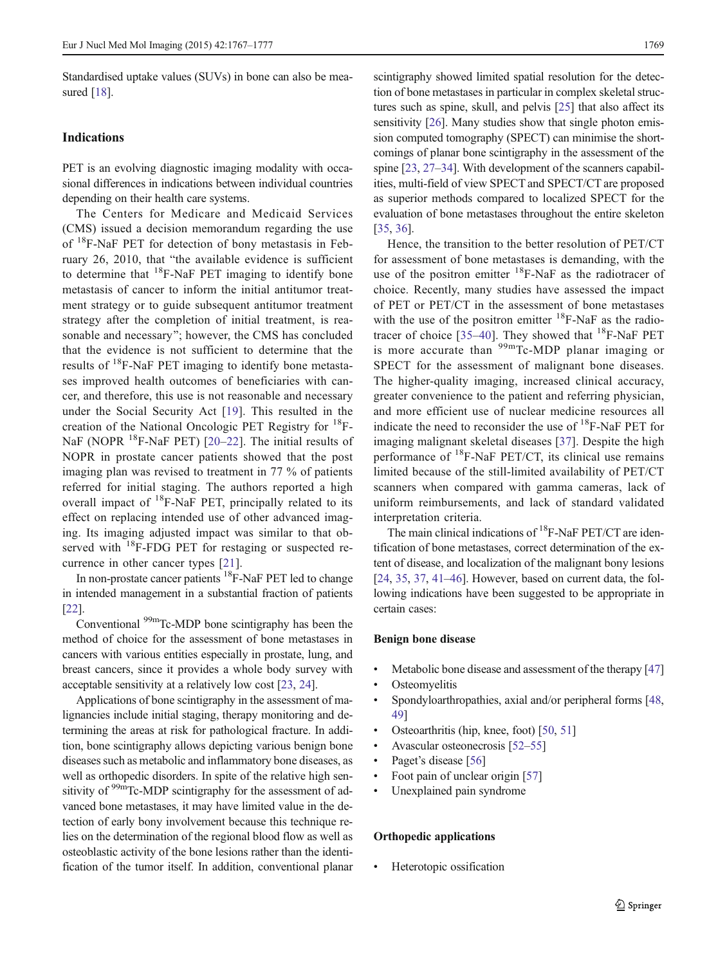Standardised uptake values (SUVs) in bone can also be mea-sured [[18\]](#page-8-0).

#### Indications

PET is an evolving diagnostic imaging modality with occasional differences in indications between individual countries depending on their health care systems.

The Centers for Medicare and Medicaid Services (CMS) issued a decision memorandum regarding the use of <sup>18</sup>F-NaF PET for detection of bony metastasis in February 26, 2010, that "the available evidence is sufficient to determine that  $^{18}$ F-NaF PET imaging to identify bone metastasis of cancer to inform the initial antitumor treatment strategy or to guide subsequent antitumor treatment strategy after the completion of initial treatment, is reasonable and necessary"; however, the CMS has concluded that the evidence is not sufficient to determine that the results of 18F-NaF PET imaging to identify bone metastases improved health outcomes of beneficiaries with cancer, and therefore, this use is not reasonable and necessary under the Social Security Act [\[19](#page-8-0)]. This resulted in the creation of the National Oncologic PET Registry for 18F-NaF (NOPR  $^{18}$ F-NaF PET) [\[20](#page-8-0)–[22\]](#page-8-0). The initial results of NOPR in prostate cancer patients showed that the post imaging plan was revised to treatment in 77 % of patients referred for initial staging. The authors reported a high overall impact of  ${}^{18}$ F-NaF PET, principally related to its effect on replacing intended use of other advanced imaging. Its imaging adjusted impact was similar to that observed with  $^{18}$ F-FDG PET for restaging or suspected recurrence in other cancer types [[21\]](#page-8-0).

In non-prostate cancer patients <sup>18</sup>F-NaF PET led to change in intended management in a substantial fraction of patients [\[22\]](#page-8-0).

Conventional  $\rm{^{99m}Tc-MDP}$  bone scintigraphy has been the method of choice for the assessment of bone metastases in cancers with various entities especially in prostate, lung, and breast cancers, since it provides a whole body survey with acceptable sensitivity at a relatively low cost [\[23](#page-8-0), [24](#page-8-0)].

Applications of bone scintigraphy in the assessment of malignancies include initial staging, therapy monitoring and determining the areas at risk for pathological fracture. In addition, bone scintigraphy allows depicting various benign bone diseases such as metabolic and inflammatory bone diseases, as well as orthopedic disorders. In spite of the relative high sensitivity of <sup>99m</sup>Tc-MDP scintigraphy for the assessment of advanced bone metastases, it may have limited value in the detection of early bony involvement because this technique relies on the determination of the regional blood flow as well as osteoblastic activity of the bone lesions rather than the identification of the tumor itself. In addition, conventional planar scintigraphy showed limited spatial resolution for the detection of bone metastases in particular in complex skeletal structures such as spine, skull, and pelvis [[25](#page-8-0)] that also affect its sensitivity [[26\]](#page-8-0). Many studies show that single photon emission computed tomography (SPECT) can minimise the shortcomings of planar bone scintigraphy in the assessment of the spine [\[23,](#page-8-0) [27](#page-8-0)–[34](#page-8-0)]. With development of the scanners capabilities, multi-field of view SPECT and SPECT/CT are proposed as superior methods compared to localized SPECT for the evaluation of bone metastases throughout the entire skeleton [\[35](#page-8-0), [36\]](#page-8-0).

Hence, the transition to the better resolution of PET/CT for assessment of bone metastases is demanding, with the use of the positron emitter  $^{18}$ F-NaF as the radiotracer of choice. Recently, many studies have assessed the impact of PET or PET/CT in the assessment of bone metastases with the use of the positron emitter  $^{18}$ F-NaF as the radio-tracer of choice [\[35](#page-8-0)–[40\]](#page-9-0). They showed that  $^{18}$ F-NaF PET is more accurate than  $99m$ Tc-MDP planar imaging or SPECT for the assessment of malignant bone diseases. The higher-quality imaging, increased clinical accuracy, greater convenience to the patient and referring physician, and more efficient use of nuclear medicine resources all indicate the need to reconsider the use of  $^{18}$ F-NaF PET for imaging malignant skeletal diseases [\[37\]](#page-8-0). Despite the high performance of  $^{18}$ F-NaF PET/CT, its clinical use remains limited because of the still-limited availability of PET/CT scanners when compared with gamma cameras, lack of uniform reimbursements, and lack of standard validated interpretation criteria.

The main clinical indications of <sup>18</sup>F-NaF PET/CT are identification of bone metastases, correct determination of the extent of disease, and localization of the malignant bony lesions [\[24](#page-8-0), [35,](#page-8-0) [37,](#page-8-0) [41](#page-9-0)–[46\]](#page-9-0). However, based on current data, the following indications have been suggested to be appropriate in certain cases:

#### Benign bone disease

- Metabolic bone disease and assessment of the therapy [\[47](#page-9-0)]
- **Osteomyelitis**
- & Spondyloarthropathies, axial and/or peripheral forms [\[48,](#page-9-0) [49\]](#page-9-0)
- Osteoarthritis (hip, knee, foot) [\[50](#page-9-0), [51\]](#page-9-0)
- Avascular osteonecrosis [[52](#page-9-0)–[55](#page-9-0)]
- Paget's disease [\[56\]](#page-9-0)
- Foot pain of unclear origin [\[57](#page-9-0)]
- & Unexplained pain syndrome

#### Orthopedic applications

Heterotopic ossification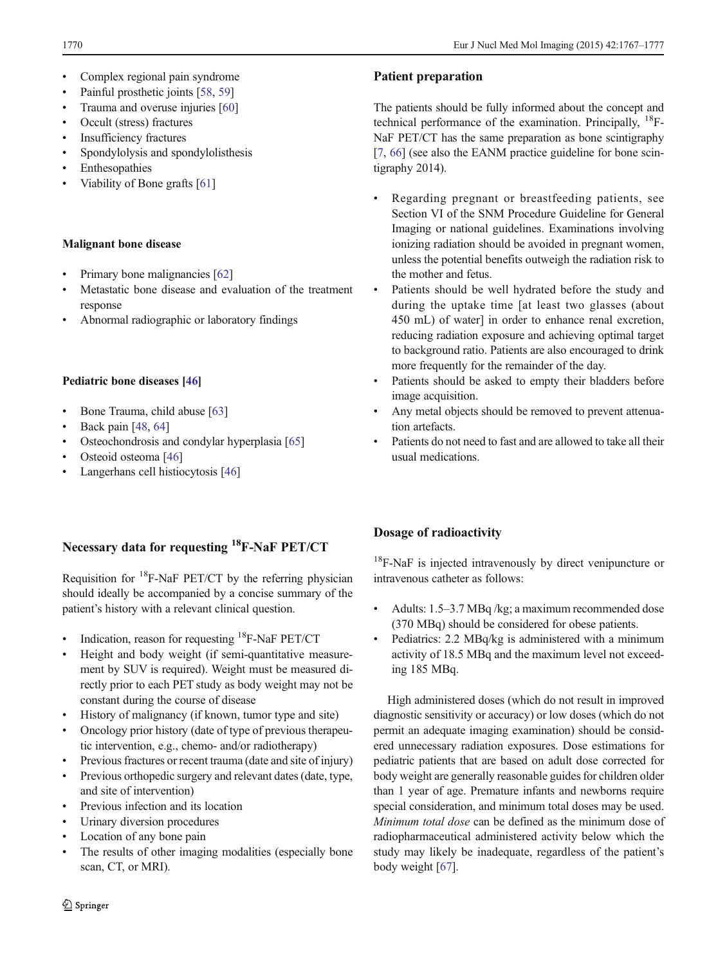- Complex regional pain syndrome
- Painful prosthetic joints [\[58,](#page-9-0) [59\]](#page-9-0)
- Trauma and overuse injuries [\[60](#page-9-0)]
- & Occult (stress) fractures
- Insufficiency fractures
- & Spondylolysis and spondylolisthesis
- **Enthesopathies**
- Viability of Bone grafts [[61\]](#page-9-0)

### Malignant bone disease

- Primary bone malignancies [[62\]](#page-9-0)
- Metastatic bone disease and evaluation of the treatment response
- & Abnormal radiographic or laboratory findings

### Pediatric bone diseases [\[46](#page-9-0)]

- Bone Trauma, child abuse [[63\]](#page-9-0)
- Back pain [\[48,](#page-9-0) [64\]](#page-9-0)
- Osteochondrosis and condylar hyperplasia [[65](#page-9-0)]
- Osteoid osteoma [[46](#page-9-0)]
- Langerhans cell histiocytosis [\[46\]](#page-9-0)

# Necessary data for requesting 18F-NaF PET/CT

Requisition for  ${}^{18}$ F-NaF PET/CT by the referring physician should ideally be accompanied by a concise summary of the patient's history with a relevant clinical question.

- Indication, reason for requesting  ${}^{18}$ F-NaF PET/CT
- Height and body weight (if semi-quantitative measurement by SUV is required). Weight must be measured directly prior to each PET study as body weight may not be constant during the course of disease
- History of malignancy (if known, tumor type and site)
- Oncology prior history (date of type of previous therapeutic intervention, e.g., chemo- and/or radiotherapy)
- Previous fractures or recent trauma (date and site of injury)
- Previous orthopedic surgery and relevant dates (date, type, and site of intervention)
- Previous infection and its location
- Urinary diversion procedures
- Location of any bone pain
- The results of other imaging modalities (especially bone scan, CT, or MRI).

## Patient preparation

The patients should be fully informed about the concept and technical performance of the examination. Principally,  $^{18}$ F-NaF PET/CT has the same preparation as bone scintigraphy [\[7](#page-8-0), [66](#page-9-0)] (see also the EANM practice guideline for bone scintigraphy 2014).

- & Regarding pregnant or breastfeeding patients, see Section VI of the SNM Procedure Guideline for General Imaging or national guidelines. Examinations involving ionizing radiation should be avoided in pregnant women, unless the potential benefits outweigh the radiation risk to the mother and fetus.
- Patients should be well hydrated before the study and during the uptake time [at least two glasses (about 450 mL) of water] in order to enhance renal excretion, reducing radiation exposure and achieving optimal target to background ratio. Patients are also encouraged to drink more frequently for the remainder of the day.
- Patients should be asked to empty their bladders before image acquisition.
- Any metal objects should be removed to prevent attenuation artefacts.
- Patients do not need to fast and are allowed to take all their usual medications.

# Dosage of radioactivity

<sup>18</sup>F-NaF is injected intravenously by direct venipuncture or intravenous catheter as follows:

- & Adults: 1.5–3.7 MBq /kg; a maximum recommended dose (370 MBq) should be considered for obese patients.
- & Pediatrics: 2.2 MBq/kg is administered with a minimum activity of 18.5 MBq and the maximum level not exceeding 185 MBq.

High administered doses (which do not result in improved diagnostic sensitivity or accuracy) or low doses (which do not permit an adequate imaging examination) should be considered unnecessary radiation exposures. Dose estimations for pediatric patients that are based on adult dose corrected for body weight are generally reasonable guides for children older than 1 year of age. Premature infants and newborns require special consideration, and minimum total doses may be used. Minimum total dose can be defined as the minimum dose of radiopharmaceutical administered activity below which the study may likely be inadequate, regardless of the patient's body weight [[67](#page-9-0)].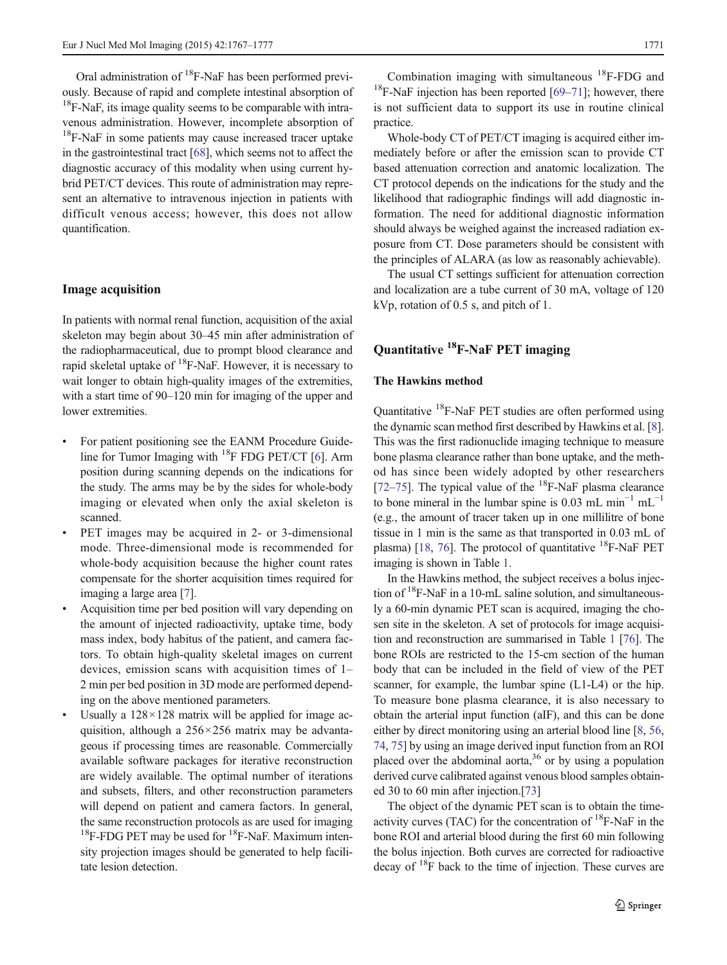Oral administration of  ${}^{18}$ F-NaF has been performed previously. Because of rapid and complete intestinal absorption of  $18F-NaF$ , its image quality seems to be comparable with intravenous administration. However, incomplete absorption of  $18$ F-NaF in some patients may cause increased tracer uptake in the gastrointestinal tract [[68](#page-9-0)], which seems not to affect the diagnostic accuracy of this modality when using current hybrid PET/CT devices. This route of administration may represent an alternative to intravenous injection in patients with difficult venous access; however, this does not allow quantification.

#### Image acquisition

In patients with normal renal function, acquisition of the axial skeleton may begin about 30–45 min after administration of the radiopharmaceutical, due to prompt blood clearance and rapid skeletal uptake of  ${}^{18}F$ -NaF. However, it is necessary to wait longer to obtain high-quality images of the extremities, with a start time of 90–120 min for imaging of the upper and lower extremities.

- For patient positioning see the EANM Procedure Guideline for Tumor Imaging with  $^{18}$ F FDG PET/CT [[6\]](#page-8-0). Arm position during scanning depends on the indications for the study. The arms may be by the sides for whole-body imaging or elevated when only the axial skeleton is scanned.
- PET images may be acquired in 2- or 3-dimensional mode. Three-dimensional mode is recommended for whole-body acquisition because the higher count rates compensate for the shorter acquisition times required for imaging a large area [[7\]](#page-8-0).
- & Acquisition time per bed position will vary depending on the amount of injected radioactivity, uptake time, body mass index, body habitus of the patient, and camera factors. To obtain high-quality skeletal images on current devices, emission scans with acquisition times of 1– 2 min per bed position in 3D mode are performed depending on the above mentioned parameters.
- Usually a  $128 \times 128$  matrix will be applied for image acquisition, although a 256×256 matrix may be advantageous if processing times are reasonable. Commercially available software packages for iterative reconstruction are widely available. The optimal number of iterations and subsets, filters, and other reconstruction parameters will depend on patient and camera factors. In general, the same reconstruction protocols as are used for imaging  $18$ F-FDG PET may be used for  $18$ F-NaF. Maximum intensity projection images should be generated to help facilitate lesion detection.

Combination imaging with simultaneous  ${}^{18}$ F-FDG and  $18$ F-NaF injection has been reported [\[69](#page-9-0)–[71\]](#page-10-0); however, there is not sufficient data to support its use in routine clinical practice.

Whole-body CT of PET/CT imaging is acquired either immediately before or after the emission scan to provide CT based attenuation correction and anatomic localization. The CT protocol depends on the indications for the study and the likelihood that radiographic findings will add diagnostic information. The need for additional diagnostic information should always be weighed against the increased radiation exposure from CT. Dose parameters should be consistent with the principles of ALARA (as low as reasonably achievable).

The usual CT settings sufficient for attenuation correction and localization are a tube current of 30 mA, voltage of 120 kVp, rotation of 0.5 s, and pitch of 1.

# Quantitative 18F-NaF PET imaging

### The Hawkins method

Quantitative 18F-NaF PET studies are often performed using the dynamic scan method first described by Hawkins et al. [[8\]](#page-8-0). This was the first radionuclide imaging technique to measure bone plasma clearance rather than bone uptake, and the method has since been widely adopted by other researchers [\[72](#page-10-0)–[75\]](#page-10-0). The typical value of the  $^{18}$ F-NaF plasma clearance to bone mineral in the lumbar spine is 0.03 mL min<sup>-1</sup> mL<sup>-1</sup> (e.g., the amount of tracer taken up in one millilitre of bone tissue in 1 min is the same as that transported in 0.03 mL of plasma) [\[18,](#page-8-0) [76](#page-10-0)]. The protocol of quantitative  ${}^{18}$ F-NaF PET imaging is shown in Table [1.](#page-5-0)

In the Hawkins method, the subject receives a bolus injection of  $18$ F-NaF in a 10-mL saline solution, and simultaneously a 60-min dynamic PET scan is acquired, imaging the chosen site in the skeleton. A set of protocols for image acquisition and reconstruction are summarised in Table [1](#page-5-0) [[76](#page-10-0)]. The bone ROIs are restricted to the 15-cm section of the human body that can be included in the field of view of the PET scanner, for example, the lumbar spine (L1-L4) or the hip. To measure bone plasma clearance, it is also necessary to obtain the arterial input function (aIF), and this can be done either by direct monitoring using an arterial blood line [\[8](#page-8-0), [56,](#page-9-0) [74,](#page-10-0) [75](#page-10-0)] by using an image derived input function from an ROI placed over the abdominal aorta, $36$  or by using a population derived curve calibrated against venous blood samples obtained 30 to 60 min after injection.[\[73\]](#page-10-0)

The object of the dynamic PET scan is to obtain the timeactivity curves (TAC) for the concentration of  $^{18}$ F-NaF in the bone ROI and arterial blood during the first 60 min following the bolus injection. Both curves are corrected for radioactive decay of  $18$ F back to the time of injection. These curves are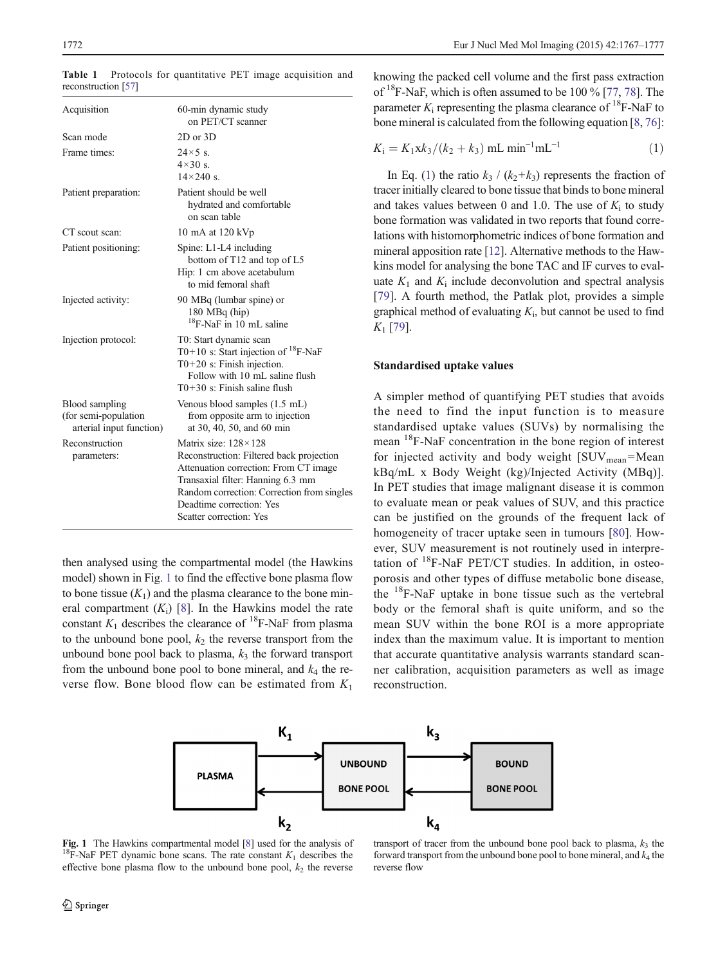| Acquisition                                                         | 60-min dynamic study<br>on PET/CT scanner                                                                                                                                                                                                                    |  |  |
|---------------------------------------------------------------------|--------------------------------------------------------------------------------------------------------------------------------------------------------------------------------------------------------------------------------------------------------------|--|--|
| Scan mode                                                           | $2D$ or $3D$                                                                                                                                                                                                                                                 |  |  |
| Frame times:                                                        | $24\times5$ s.<br>$4\times30$ s.<br>$14\times240$ s                                                                                                                                                                                                          |  |  |
| Patient preparation:                                                | Patient should be well<br>hydrated and comfortable<br>on scan table                                                                                                                                                                                          |  |  |
| CT scout scan:                                                      | 10 mA at 120 kVp                                                                                                                                                                                                                                             |  |  |
| Patient positioning:                                                | Spine: L1-L4 including<br>bottom of T12 and top of L5<br>Hip: 1 cm above acetabulum<br>to mid femoral shaft                                                                                                                                                  |  |  |
| Injected activity:                                                  | 90 MBq (lumbar spine) or<br>$180 \text{ MBq (hip)}$<br><sup>18</sup> F-NaF in 10 mL saline                                                                                                                                                                   |  |  |
| Injection protocol:                                                 | T0: Start dynamic scan<br>T0+10 s: Start injection of $^{18}$ F-NaF<br>$T0+20$ s: Finish injection.<br>Follow with 10 mL saline flush<br>$T0+30$ s: Finish saline flush                                                                                      |  |  |
| Blood sampling<br>(for semi-population)<br>arterial input function) | Venous blood samples (1.5 mL)<br>from opposite arm to injection<br>at 30, 40, 50, and 60 min                                                                                                                                                                 |  |  |
| Reconstruction<br>parameters:                                       | Matrix size: $128 \times 128$<br>Reconstruction: Filtered back projection<br>Attenuation correction: From CT image<br>Transaxial filter: Hanning 6.3 mm<br>Random correction: Correction from singles<br>Deadtime correction: Yes<br>Scatter correction: Yes |  |  |

<span id="page-5-0"></span>Table 1 Protocols for quantitative PET image acquisition and reconstruction [\[57\]](#page-9-0)

then analysed using the compartmental model (the Hawkins model) shown in Fig. 1 to find the effective bone plasma flow to bone tissue  $(K_1)$  and the plasma clearance to the bone mineral compartment  $(K_i)$  [[8](#page-8-0)]. In the Hawkins model the rate constant  $K_1$  describes the clearance of <sup>18</sup>F-NaF from plasma to the unbound bone pool,  $k_2$  the reverse transport from the unbound bone pool back to plasma,  $k_3$  the forward transport from the unbound bone pool to bone mineral, and  $k_4$  the reverse flow. Bone blood flow can be estimated from  $K_1$ 

knowing the packed cell volume and the first pass extraction of  $18F$ -NaF, which is often assumed to be 100 % [\[77,](#page-10-0) [78](#page-10-0)]. The parameter  $K_i$  representing the plasma clearance of <sup>18</sup>F-NaF to bone mineral is calculated from the following equation [\[8](#page-8-0), [76](#page-10-0)]:

$$
K_{\rm i} = K_{\rm 1} x k_3 / (k_2 + k_3) \,\mathrm{mL} \,\mathrm{min}^{-1} \mathrm{mL}^{-1} \tag{1}
$$

In Eq. (1) the ratio  $k_3 / (k_2+k_3)$  represents the fraction of tracer initially cleared to bone tissue that binds to bone mineral and takes values between 0 and 1.0. The use of  $K_i$  to study bone formation was validated in two reports that found correlations with histomorphometric indices of bone formation and mineral apposition rate [\[12](#page-8-0)]. Alternative methods to the Hawkins model for analysing the bone TAC and IF curves to evaluate  $K_1$  and  $K_i$  include deconvolution and spectral analysis [\[79](#page-10-0)]. A fourth method, the Patlak plot, provides a simple graphical method of evaluating  $K_i$ , but cannot be used to find  $K_1$  [\[79\]](#page-10-0).

#### Standardised uptake values

A simpler method of quantifying PET studies that avoids the need to find the input function is to measure standardised uptake values (SUVs) by normalising the mean 18F-NaF concentration in the bone region of interest for injected activity and body weight  $[SUV_{mean} = Mean]$ kBq/mL x Body Weight (kg)/Injected Activity (MBq)]. In PET studies that image malignant disease it is common to evaluate mean or peak values of SUV, and this practice can be justified on the grounds of the frequent lack of homogeneity of tracer uptake seen in tumours [\[80](#page-10-0)]. However, SUV measurement is not routinely used in interpretation of  $^{18}$ F-NaF PET/CT studies. In addition, in osteoporosis and other types of diffuse metabolic bone disease, the 18F-NaF uptake in bone tissue such as the vertebral body or the femoral shaft is quite uniform, and so the mean SUV within the bone ROI is a more appropriate index than the maximum value. It is important to mention that accurate quantitative analysis warrants standard scanner calibration, acquisition parameters as well as image reconstruction.



**Fig. 1** The Hawkins compartmental model [\[8\]](#page-8-0) used for the analysis of <sup>18</sup>F-NaF PET dynamic bone scans. The rate constant  $K_1$  describes the effective bone plasma flow to the unbound bone pool,  $k_2$  the reverse

transport of tracer from the unbound bone pool back to plasma,  $k_3$  the forward transport from the unbound bone pool to bone mineral, and  $k_4$  the reverse flow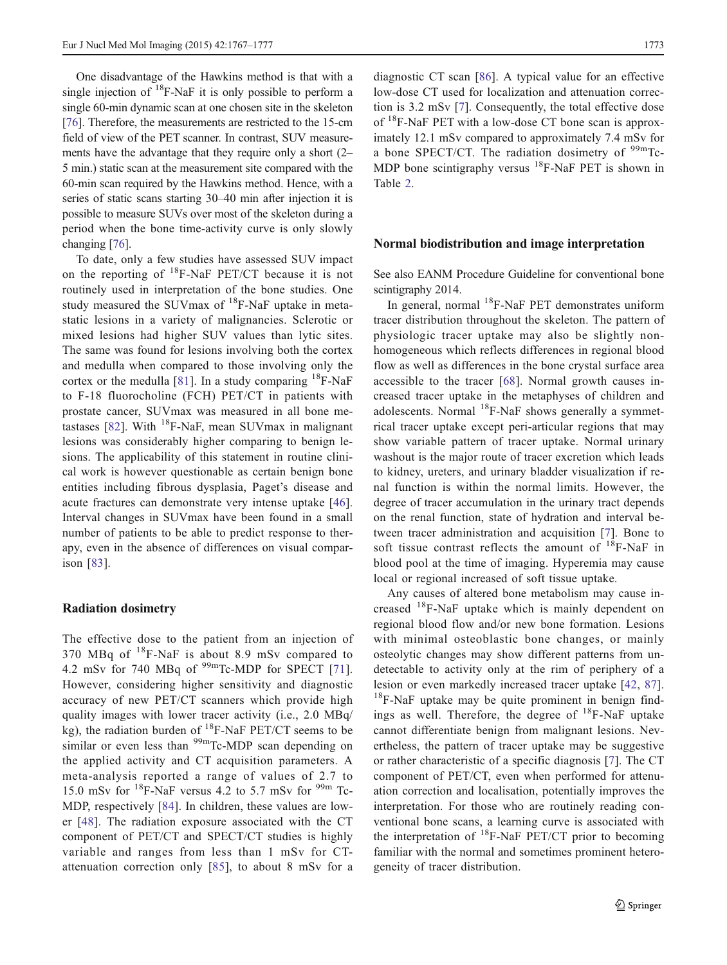One disadvantage of the Hawkins method is that with a single injection of  ${}^{18}$ F-NaF it is only possible to perform a single 60-min dynamic scan at one chosen site in the skeleton [\[76\]](#page-10-0). Therefore, the measurements are restricted to the 15-cm field of view of the PET scanner. In contrast, SUV measurements have the advantage that they require only a short (2– 5 min.) static scan at the measurement site compared with the 60-min scan required by the Hawkins method. Hence, with a series of static scans starting 30–40 min after injection it is possible to measure SUVs over most of the skeleton during a period when the bone time-activity curve is only slowly changing [\[76](#page-10-0)].

To date, only a few studies have assessed SUV impact on the reporting of  $^{18}$ F-NaF PET/CT because it is not routinely used in interpretation of the bone studies. One study measured the SUV max of  $^{18}$ F-NaF uptake in metastatic lesions in a variety of malignancies. Sclerotic or mixed lesions had higher SUV values than lytic sites. The same was found for lesions involving both the cortex and medulla when compared to those involving only the cortex or the medulla [\[81\]](#page-10-0). In a study comparing  $^{18}$ F-NaF to F-18 fluorocholine (FCH) PET/CT in patients with prostate cancer, SUVmax was measured in all bone me-tastases [[82\]](#page-10-0). With  $^{18}$ F-NaF, mean SUVmax in malignant lesions was considerably higher comparing to benign lesions. The applicability of this statement in routine clinical work is however questionable as certain benign bone entities including fibrous dysplasia, Paget's disease and acute fractures can demonstrate very intense uptake [\[46](#page-9-0)]. Interval changes in SUVmax have been found in a small number of patients to be able to predict response to therapy, even in the absence of differences on visual comparison [[83\]](#page-10-0).

#### Radiation dosimetry

The effective dose to the patient from an injection of 370 MBq of  $^{18}$ F-NaF is about 8.9 mSv compared to 4.2 mSv for 740 MBq of <sup>99m</sup>Tc-MDP for SPECT [\[71](#page-10-0)]. However, considering higher sensitivity and diagnostic accuracy of new PET/CT scanners which provide high quality images with lower tracer activity (i.e., 2.0 MBq/ kg), the radiation burden of  $^{18}$ F-NaF PET/CT seems to be similar or even less than <sup>99m</sup>Tc-MDP scan depending on the applied activity and CT acquisition parameters. A meta-analysis reported a range of values of 2.7 to 15.0 mSv for  $^{18}$ F-NaF versus 4.2 to 5.7 mSv for  $^{99m}$  Tc-MDP, respectively [[84\]](#page-10-0). In children, these values are lower [[48](#page-9-0)]. The radiation exposure associated with the CT component of PET/CT and SPECT/CT studies is highly variable and ranges from less than 1 mSv for CTattenuation correction only [[85](#page-10-0)], to about 8 mSv for a

diagnostic CT scan [[86\]](#page-10-0). A typical value for an effective low-dose CT used for localization and attenuation correction is 3.2 mSv [[7\]](#page-8-0). Consequently, the total effective dose of  $^{18}$ F-NaF PET with a low-dose CT bone scan is approximately 12.1 mSv compared to approximately 7.4 mSv for a bone SPECT/CT. The radiation dosimetry of  $99 \text{m}$ Tc-MDP bone scintigraphy versus  $^{18}$ F-NaF PET is shown in Table [2](#page-7-0).

#### Normal biodistribution and image interpretation

See also EANM Procedure Guideline for conventional bone scintigraphy 2014.

In general, normal  $^{18}$ F-NaF PET demonstrates uniform tracer distribution throughout the skeleton. The pattern of physiologic tracer uptake may also be slightly nonhomogeneous which reflects differences in regional blood flow as well as differences in the bone crystal surface area accessible to the tracer [\[68\]](#page-9-0). Normal growth causes increased tracer uptake in the metaphyses of children and adolescents. Normal  $^{18}$ F-NaF shows generally a symmetrical tracer uptake except peri-articular regions that may show variable pattern of tracer uptake. Normal urinary washout is the major route of tracer excretion which leads to kidney, ureters, and urinary bladder visualization if renal function is within the normal limits. However, the degree of tracer accumulation in the urinary tract depends on the renal function, state of hydration and interval between tracer administration and acquisition [\[7\]](#page-8-0). Bone to soft tissue contrast reflects the amount of  $^{18}$ F-NaF in blood pool at the time of imaging. Hyperemia may cause local or regional increased of soft tissue uptake.

Any causes of altered bone metabolism may cause increased  $^{18}$ F-NaF uptake which is mainly dependent on regional blood flow and/or new bone formation. Lesions with minimal osteoblastic bone changes, or mainly osteolytic changes may show different patterns from undetectable to activity only at the rim of periphery of a lesion or even markedly increased tracer uptake [[42](#page-9-0), [87](#page-10-0)].  $18$ F-NaF uptake may be quite prominent in benign findings as well. Therefore, the degree of  $^{18}$ F-NaF uptake cannot differentiate benign from malignant lesions. Nevertheless, the pattern of tracer uptake may be suggestive or rather characteristic of a specific diagnosis [[7\]](#page-8-0). The CT component of PET/CT, even when performed for attenuation correction and localisation, potentially improves the interpretation. For those who are routinely reading conventional bone scans, a learning curve is associated with the interpretation of  $^{18}$ F-NaF PET/CT prior to becoming familiar with the normal and sometimes prominent heterogeneity of tracer distribution.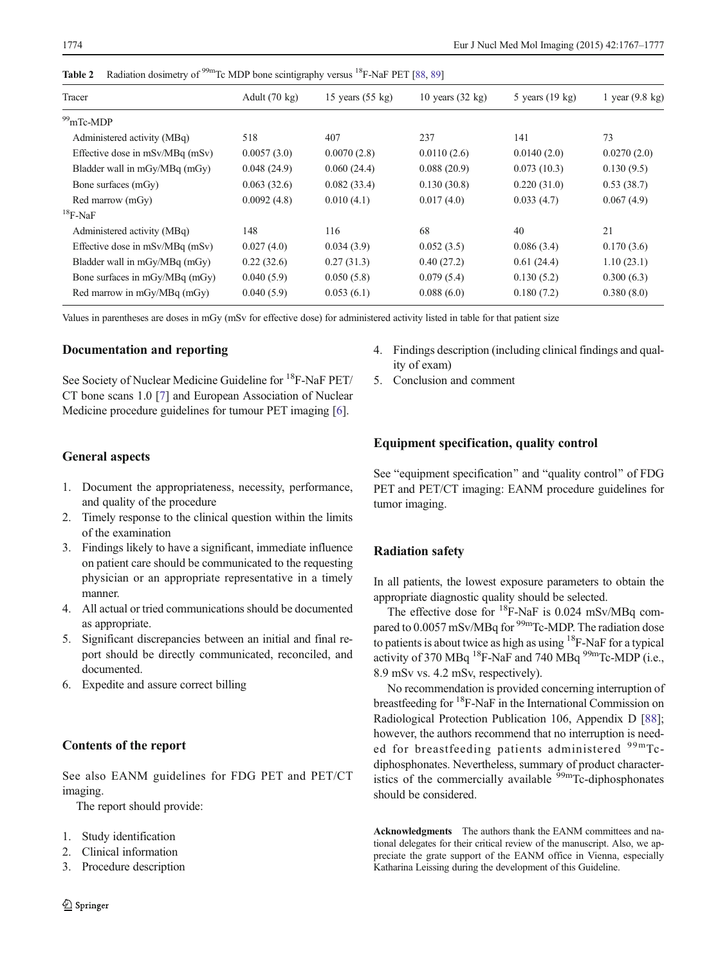| Tracer                                | Adult $(70 \text{ kg})$ | 15 years $(55 \text{ kg})$ | 10 years $(32 \text{ kg})$ | 5 years (19 kg) | 1 year $(9.8 \text{ kg})$ |
|---------------------------------------|-------------------------|----------------------------|----------------------------|-----------------|---------------------------|
| <sup>99</sup> mTc-MDP                 |                         |                            |                            |                 |                           |
| Administered activity (MBq)           | 518                     | 407                        | 237                        | 141             | 73                        |
| Effective dose in $mSv/MBq$ ( $mSv$ ) | 0.0057(3.0)             | 0.0070(2.8)                | 0.0110(2.6)                | 0.0140(2.0)     | 0.0270(2.0)               |
| Bladder wall in mGy/MBq (mGy)         | 0.048(24.9)             | 0.060(24.4)                | 0.088(20.9)                | 0.073(10.3)     | 0.130(9.5)                |
| Bone surfaces (mGy)                   | 0.063(32.6)             | 0.082(33.4)                | 0.130(30.8)                | 0.220(31.0)     | 0.53(38.7)                |
| Red marrow (mGy)                      | 0.0092(4.8)             | 0.010(4.1)                 | 0.017(4.0)                 | 0.033(4.7)      | 0.067(4.9)                |
| $^{18}$ F-NaF                         |                         |                            |                            |                 |                           |
| Administered activity (MBq)           | 148                     | 116                        | 68                         | 40              | 21                        |
| Effective dose in mSv/MBq (mSv)       | 0.027(4.0)              | 0.034(3.9)                 | 0.052(3.5)                 | 0.086(3.4)      | 0.170(3.6)                |
| Bladder wall in mGy/MBq (mGy)         | 0.22(32.6)              | 0.27(31.3)                 | 0.40(27.2)                 | 0.61(24.4)      | 1.10(23.1)                |
| Bone surfaces in mGy/MBq (mGy)        | 0.040(5.9)              | 0.050(5.8)                 | 0.079(5.4)                 | 0.130(5.2)      | 0.300(6.3)                |
| Red marrow in mGy/MBq (mGy)           | 0.040(5.9)              | 0.053(6.1)                 | 0.088(6.0)                 | 0.180(7.2)      | 0.380(8.0)                |

<span id="page-7-0"></span>**Table 2** Radiation dosimetry of <sup>99m</sup>Tc MDP bone scintigraphy versus <sup>18</sup>F-NaF PET [\[88,](#page-10-0) [89](#page-10-0)]

Values in parentheses are doses in mGy (mSv for effective dose) for administered activity listed in table for that patient size

### Documentation and reporting

See Society of Nuclear Medicine Guideline for <sup>18</sup>F-NaF PET/ CT bone scans 1.0 [[7\]](#page-8-0) and European Association of Nuclear Medicine procedure guidelines for tumour PET imaging [[6\]](#page-8-0).

# General aspects

- 1. Document the appropriateness, necessity, performance, and quality of the procedure
- 2. Timely response to the clinical question within the limits of the examination
- 3. Findings likely to have a significant, immediate influence on patient care should be communicated to the requesting physician or an appropriate representative in a timely manner.
- 4. All actual or tried communications should be documented as appropriate.
- 5. Significant discrepancies between an initial and final report should be directly communicated, reconciled, and documented.
- 6. Expedite and assure correct billing

### Contents of the report

See also EANM guidelines for FDG PET and PET/CT imaging.

The report should provide:

- 1. Study identification
- 2. Clinical information
- 3. Procedure description
- 4. Findings description (including clinical findings and quality of exam)
- 5. Conclusion and comment

# Equipment specification, quality control

See "equipment specification" and "quality control" of FDG PET and PET/CT imaging: EANM procedure guidelines for tumor imaging.

# Radiation safety

In all patients, the lowest exposure parameters to obtain the appropriate diagnostic quality should be selected.

The effective dose for  $^{18}$ F-NaF is 0.024 mSv/MBq compared to 0.0057 mSv/MBq for <sup>99m</sup>Tc-MDP. The radiation dose to patients is about twice as high as using  ${}^{18}$ F-NaF for a typical activity of 370 MBq  $^{18}$ F-NaF and 740 MBq  $^{99m}$ Tc-MDP (i.e., 8.9 mSv vs. 4.2 mSv, respectively).

No recommendation is provided concerning interruption of breastfeeding for 18F-NaF in the International Commission on Radiological Protection Publication 106, Appendix D [[88](#page-10-0)]; however, the authors recommend that no interruption is needed for breastfeeding patients administered  $99<sup>99m</sup>Tc$ diphosphonates. Nevertheless, summary of product characteristics of the commercially available  $\frac{99 \text{m}}{2}$ Tc-diphosphonates should be considered.

Acknowledgments The authors thank the EANM committees and national delegates for their critical review of the manuscript. Also, we appreciate the grate support of the EANM office in Vienna, especially Katharina Leissing during the development of this Guideline.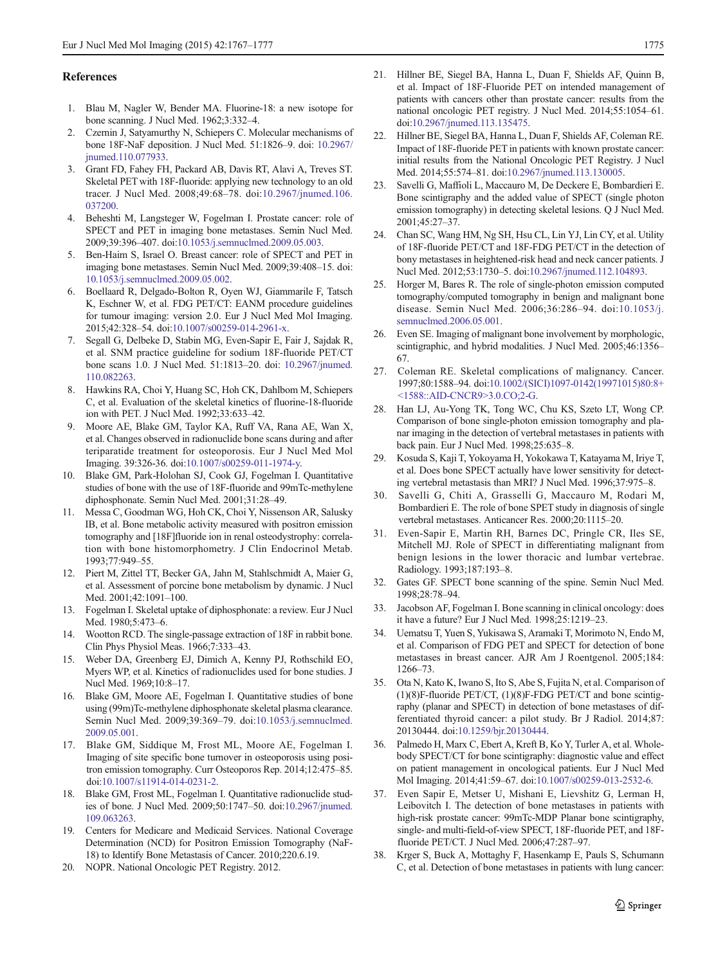#### <span id="page-8-0"></span>References

- 1. Blau M, Nagler W, Bender MA. Fluorine-18: a new isotope for bone scanning. J Nucl Med. 1962;3:332–4.
- 2. Czernin J, Satyamurthy N, Schiepers C. Molecular mechanisms of bone 18F-NaF deposition. J Nucl Med. 51:1826–9. doi: [10.2967/](http://dx.doi.org/10.2967/jnumed.110.077933) [jnumed.110.077933.](http://dx.doi.org/10.2967/jnumed.110.077933)
- 3. Grant FD, Fahey FH, Packard AB, Davis RT, Alavi A, Treves ST. Skeletal PET with 18F-fluoride: applying new technology to an old tracer. J Nucl Med. 2008;49:68–78. doi:[10.2967/jnumed.106.](http://dx.doi.org/10.2967/jnumed.106.037200) [037200](http://dx.doi.org/10.2967/jnumed.106.037200).
- 4. Beheshti M, Langsteger W, Fogelman I. Prostate cancer: role of SPECT and PET in imaging bone metastases. Semin Nucl Med. 2009;39:396–407. doi[:10.1053/j.semnuclmed.2009.05.003](http://dx.doi.org/10.1053/j.semnuclmed.2009.05.003).
- 5. Ben-Haim S, Israel O. Breast cancer: role of SPECT and PET in imaging bone metastases. Semin Nucl Med. 2009;39:408–15. doi: [10.1053/j.semnuclmed.2009.05.002](http://dx.doi.org/10.1053/j.semnuclmed.2009.05.002).
- 6. Boellaard R, Delgado-Bolton R, Oyen WJ, Giammarile F, Tatsch K, Eschner W, et al. FDG PET/CT: EANM procedure guidelines for tumour imaging: version 2.0. Eur J Nucl Med Mol Imaging. 2015;42:328–54. doi[:10.1007/s00259-014-2961-x](http://dx.doi.org/10.1007/s00259-014-2961-x).
- 7. Segall G, Delbeke D, Stabin MG, Even-Sapir E, Fair J, Sajdak R, et al. SNM practice guideline for sodium 18F-fluoride PET/CT bone scans 1.0. J Nucl Med. 51:1813–20. doi: [10.2967/jnumed.](http://dx.doi.org/10.2967/jnumed.110.082263) [110.082263](http://dx.doi.org/10.2967/jnumed.110.082263).
- 8. Hawkins RA, Choi Y, Huang SC, Hoh CK, Dahlbom M, Schiepers C, et al. Evaluation of the skeletal kinetics of fluorine-18-fluoride ion with PET. J Nucl Med. 1992;33:633–42.
- 9. Moore AE, Blake GM, Taylor KA, Ruff VA, Rana AE, Wan X, et al. Changes observed in radionuclide bone scans during and after teriparatide treatment for osteoporosis. Eur J Nucl Med Mol Imaging. 39:326-36. doi:[10.1007/s00259-011-1974-y.](http://dx.doi.org/10.1007/s00259-011-1974-y)
- 10. Blake GM, Park-Holohan SJ, Cook GJ, Fogelman I. Quantitative studies of bone with the use of 18F-fluoride and 99mTc-methylene diphosphonate. Semin Nucl Med. 2001;31:28–49.
- 11. Messa C, Goodman WG, Hoh CK, Choi Y, Nissenson AR, Salusky IB, et al. Bone metabolic activity measured with positron emission tomography and [18F]fluoride ion in renal osteodystrophy: correlation with bone histomorphometry. J Clin Endocrinol Metab. 1993;77:949–55.
- 12. Piert M, Zittel TT, Becker GA, Jahn M, Stahlschmidt A, Maier G, et al. Assessment of porcine bone metabolism by dynamic. J Nucl Med. 2001;42:1091–100.
- 13. Fogelman I. Skeletal uptake of diphosphonate: a review. Eur J Nucl Med. 1980;5:473–6.
- 14. Wootton RCD. The single-passage extraction of 18F in rabbit bone. Clin Phys Physiol Meas. 1966;7:333–43.
- 15. Weber DA, Greenberg EJ, Dimich A, Kenny PJ, Rothschild EO, Myers WP, et al. Kinetics of radionuclides used for bone studies. J Nucl Med. 1969;10:8–17.
- 16. Blake GM, Moore AE, Fogelman I. Quantitative studies of bone using (99m)Tc-methylene diphosphonate skeletal plasma clearance. Semin Nucl Med. 2009;39:369–79. doi:[10.1053/j.semnuclmed.](http://dx.doi.org/10.1053/j.semnuclmed.2009.05.001) [2009.05.001](http://dx.doi.org/10.1053/j.semnuclmed.2009.05.001).
- 17. Blake GM, Siddique M, Frost ML, Moore AE, Fogelman I. Imaging of site specific bone turnover in osteoporosis using positron emission tomography. Curr Osteoporos Rep. 2014;12:475–85. doi:[10.1007/s11914-014-0231-2](http://dx.doi.org/10.1007/s11914-014-0231-2).
- 18. Blake GM, Frost ML, Fogelman I. Quantitative radionuclide studies of bone. J Nucl Med. 2009;50:1747–50. doi[:10.2967/jnumed.](http://dx.doi.org/10.2967/jnumed.109.063263) [109.063263](http://dx.doi.org/10.2967/jnumed.109.063263).
- 19. Centers for Medicare and Medicaid Services. National Coverage Determination (NCD) for Positron Emission Tomography (NaF-18) to Identify Bone Metastasis of Cancer. 2010;220.6.19.
- 20. NOPR. National Oncologic PET Registry. 2012.
- 21. Hillner BE, Siegel BA, Hanna L, Duan F, Shields AF, Quinn B, et al. Impact of 18F-Fluoride PET on intended management of patients with cancers other than prostate cancer: results from the national oncologic PET registry. J Nucl Med. 2014;55:1054–61. doi[:10.2967/jnumed.113.135475.](http://dx.doi.org/10.2967/jnumed.113.135475)
- 22. Hillner BE, Siegel BA, Hanna L, Duan F, Shields AF, Coleman RE. Impact of 18F-fluoride PET in patients with known prostate cancer: initial results from the National Oncologic PET Registry. J Nucl Med. 2014;55:574–81. doi:[10.2967/jnumed.113.130005](http://dx.doi.org/10.2967/jnumed.113.130005).
- 23. Savelli G, Maffioli L, Maccauro M, De Deckere E, Bombardieri E. Bone scintigraphy and the added value of SPECT (single photon emission tomography) in detecting skeletal lesions. Q J Nucl Med. 2001;45:27–37.
- 24. Chan SC, Wang HM, Ng SH, Hsu CL, Lin YJ, Lin CY, et al. Utility of 18F-fluoride PET/CT and 18F-FDG PET/CT in the detection of bony metastases in heightened-risk head and neck cancer patients. J Nucl Med. 2012;53:1730–5. doi:[10.2967/jnumed.112.104893](http://dx.doi.org/10.2967/jnumed.112.104893).
- 25. Horger M, Bares R. The role of single-photon emission computed tomography/computed tomography in benign and malignant bone disease. Semin Nucl Med. 2006;36:286–94. doi:[10.1053/j.](http://dx.doi.org/10.1053/j.semnuclmed.2006.05.001) [semnuclmed.2006.05.001.](http://dx.doi.org/10.1053/j.semnuclmed.2006.05.001)
- 26. Even SE. Imaging of malignant bone involvement by morphologic, scintigraphic, and hybrid modalities. J Nucl Med. 2005;46:1356– 67.
- 27. Coleman RE. Skeletal complications of malignancy. Cancer. 1997;80:1588–94. doi[:10.1002/\(SICI\)1097-0142\(19971015\)80:8+](http://dx.doi.org/10.1002/(SICI)1097-0142(19971015)80:8+%3C1588::AID-CNCR9%3E3.0.CO;2-G) [<1588::AID-CNCR9>3.0.CO;2-G.](http://dx.doi.org/10.1002/(SICI)1097-0142(19971015)80:8+%3C1588::AID-CNCR9%3E3.0.CO;2-G)
- 28. Han LJ, Au-Yong TK, Tong WC, Chu KS, Szeto LT, Wong CP. Comparison of bone single-photon emission tomography and planar imaging in the detection of vertebral metastases in patients with back pain. Eur J Nucl Med. 1998;25:635–8.
- 29. Kosuda S, Kaji T, Yokoyama H, Yokokawa T, Katayama M, Iriye T, et al. Does bone SPECT actually have lower sensitivity for detecting vertebral metastasis than MRI? J Nucl Med. 1996;37:975–8.
- 30. Savelli G, Chiti A, Grasselli G, Maccauro M, Rodari M, Bombardieri E. The role of bone SPET study in diagnosis of single vertebral metastases. Anticancer Res. 2000;20:1115–20.
- 31. Even-Sapir E, Martin RH, Barnes DC, Pringle CR, Iles SE, Mitchell MJ. Role of SPECT in differentiating malignant from benign lesions in the lower thoracic and lumbar vertebrae. Radiology. 1993;187:193–8.
- 32. Gates GF. SPECT bone scanning of the spine. Semin Nucl Med. 1998;28:78–94.
- 33. Jacobson AF, Fogelman I. Bone scanning in clinical oncology: does it have a future? Eur J Nucl Med. 1998;25:1219–23.
- 34. Uematsu T, Yuen S, Yukisawa S, Aramaki T, Morimoto N, Endo M, et al. Comparison of FDG PET and SPECT for detection of bone metastases in breast cancer. AJR Am J Roentgenol. 2005;184: 1266–73.
- 35. Ota N, Kato K, Iwano S, Ito S, Abe S, Fujita N, et al. Comparison of  $(1)(8)$ F-fluoride PET/CT,  $(1)(8)$ F-FDG PET/CT and bone scintigraphy (planar and SPECT) in detection of bone metastases of differentiated thyroid cancer: a pilot study. Br J Radiol. 2014;87: 20130444. doi[:10.1259/bjr.20130444.](http://dx.doi.org/10.1259/bjr.20130444)
- 36. Palmedo H, Marx C, Ebert A, Kreft B, Ko Y, Turler A, et al. Wholebody SPECT/CT for bone scintigraphy: diagnostic value and effect on patient management in oncological patients. Eur J Nucl Med Mol Imaging. 2014;41:59–67. doi:[10.1007/s00259-013-2532-6](http://dx.doi.org/10.1007/s00259-013-2532-6).
- 37. Even Sapir E, Metser U, Mishani E, Lievshitz G, Lerman H, Leibovitch I. The detection of bone metastases in patients with high-risk prostate cancer: 99mTc-MDP Planar bone scintigraphy, single- and multi-field-of-view SPECT, 18F-fluoride PET, and 18Ffluoride PET/CT. J Nucl Med. 2006;47:287–97.
- 38. Krger S, Buck A, Mottaghy F, Hasenkamp E, Pauls S, Schumann C, et al. Detection of bone metastases in patients with lung cancer: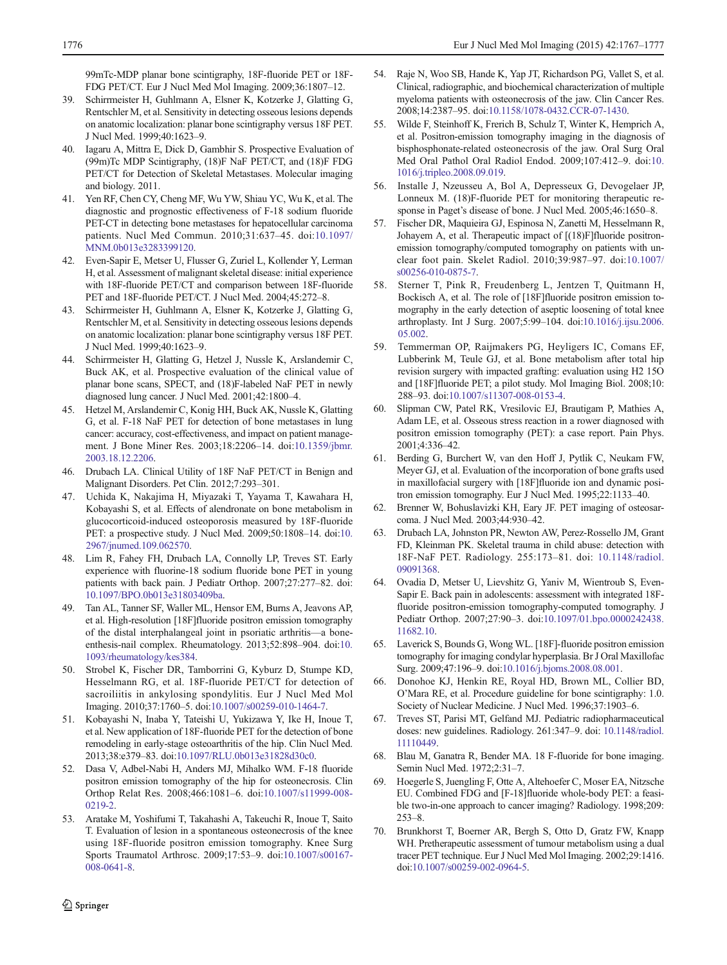<span id="page-9-0"></span>99mTc-MDP planar bone scintigraphy, 18F-fluoride PET or 18F-FDG PET/CT. Eur J Nucl Med Mol Imaging. 2009;36:1807–12.

- 39. Schirrmeister H, Guhlmann A, Elsner K, Kotzerke J, Glatting G, Rentschler M, et al. Sensitivity in detecting osseous lesions depends on anatomic localization: planar bone scintigraphy versus 18F PET. J Nucl Med. 1999;40:1623–9.
- 40. Iagaru A, Mittra E, Dick D, Gambhir S. Prospective Evaluation of (99m)Tc MDP Scintigraphy, (18)F NaF PET/CT, and (18)F FDG PET/CT for Detection of Skeletal Metastases. Molecular imaging and biology. 2011.
- 41. Yen RF, Chen CY, Cheng MF, Wu YW, Shiau YC, Wu K, et al. The diagnostic and prognostic effectiveness of F-18 sodium fluoride PET-CT in detecting bone metastases for hepatocellular carcinoma patients. Nucl Med Commun. 2010;31:637–45. doi:[10.1097/](http://dx.doi.org/10.1097/MNM.0b013e3283399120) [MNM.0b013e3283399120.](http://dx.doi.org/10.1097/MNM.0b013e3283399120)
- 42. Even-Sapir E, Metser U, Flusser G, Zuriel L, Kollender Y, Lerman H, et al. Assessment of malignant skeletal disease: initial experience with 18F-fluoride PET/CT and comparison between 18F-fluoride PET and 18F-fluoride PET/CT. J Nucl Med. 2004;45:272–8.
- 43. Schirrmeister H, Guhlmann A, Elsner K, Kotzerke J, Glatting G, Rentschler M, et al. Sensitivity in detecting osseous lesions depends on anatomic localization: planar bone scintigraphy versus 18F PET. J Nucl Med. 1999;40:1623–9.
- 44. Schirrmeister H, Glatting G, Hetzel J, Nussle K, Arslandemir C, Buck AK, et al. Prospective evaluation of the clinical value of planar bone scans, SPECT, and (18)F-labeled NaF PET in newly diagnosed lung cancer. J Nucl Med. 2001;42:1800–4.
- 45. Hetzel M, Arslandemir C, Konig HH, Buck AK, Nussle K, Glatting G, et al. F-18 NaF PET for detection of bone metastases in lung cancer: accuracy, cost-effectiveness, and impact on patient management. J Bone Miner Res. 2003;18:2206–14. doi[:10.1359/jbmr.](http://dx.doi.org/10.1359/jbmr.2003.18.12.2206) [2003.18.12.2206.](http://dx.doi.org/10.1359/jbmr.2003.18.12.2206)
- 46. Drubach LA. Clinical Utility of 18F NaF PET/CT in Benign and Malignant Disorders. Pet Clin. 2012;7:293–301.
- 47. Uchida K, Nakajima H, Miyazaki T, Yayama T, Kawahara H, Kobayashi S, et al. Effects of alendronate on bone metabolism in glucocorticoid-induced osteoporosis measured by 18F-fluoride PET: a prospective study. J Nucl Med. 2009;50:1808–14. doi:[10.](http://dx.doi.org/10.2967/jnumed.109.062570) [2967/jnumed.109.062570](http://dx.doi.org/10.2967/jnumed.109.062570).
- 48. Lim R, Fahey FH, Drubach LA, Connolly LP, Treves ST. Early experience with fluorine-18 sodium fluoride bone PET in young patients with back pain. J Pediatr Orthop. 2007;27:277–82. doi: [10.1097/BPO.0b013e31803409ba](http://dx.doi.org/10.1097/BPO.0b013e31803409ba).
- 49. Tan AL, Tanner SF, Waller ML, Hensor EM, Burns A, Jeavons AP, et al. High-resolution [18F]fluoride positron emission tomography of the distal interphalangeal joint in psoriatic arthritis—a boneenthesis-nail complex. Rheumatology. 2013;52:898–904. doi:[10.](http://dx.doi.org/10.1093/rheumatology/kes384) [1093/rheumatology/kes384.](http://dx.doi.org/10.1093/rheumatology/kes384)
- 50. Strobel K, Fischer DR, Tamborrini G, Kyburz D, Stumpe KD, Hesselmann RG, et al. 18F-fluoride PET/CT for detection of sacroiliitis in ankylosing spondylitis. Eur J Nucl Med Mol Imaging. 2010;37:1760–5. doi:[10.1007/s00259-010-1464-7.](http://dx.doi.org/10.1007/s00259-010-1464-7)
- 51. Kobayashi N, Inaba Y, Tateishi U, Yukizawa Y, Ike H, Inoue T, et al. New application of 18F-fluoride PET for the detection of bone remodeling in early-stage osteoarthritis of the hip. Clin Nucl Med. 2013;38:e379–83. doi:[10.1097/RLU.0b013e31828d30c0](http://dx.doi.org/10.1097/RLU.0b013e31828d30c0).
- 52. Dasa V, Adbel-Nabi H, Anders MJ, Mihalko WM. F-18 fluoride positron emission tomography of the hip for osteonecrosis. Clin Orthop Relat Res. 2008;466:1081–6. doi:[10.1007/s11999-008-](http://dx.doi.org/10.1007/s11999-008-0219-2) [0219-2](http://dx.doi.org/10.1007/s11999-008-0219-2).
- 53. Aratake M, Yoshifumi T, Takahashi A, Takeuchi R, Inoue T, Saito T. Evaluation of lesion in a spontaneous osteonecrosis of the knee using 18F-fluoride positron emission tomography. Knee Surg Sports Traumatol Arthrosc. 2009;17:53–9. doi[:10.1007/s00167-](http://dx.doi.org/10.1007/s00167-008-0641-8) [008-0641-8](http://dx.doi.org/10.1007/s00167-008-0641-8).
- 54. Raje N, Woo SB, Hande K, Yap JT, Richardson PG, Vallet S, et al. Clinical, radiographic, and biochemical characterization of multiple myeloma patients with osteonecrosis of the jaw. Clin Cancer Res. 2008;14:2387–95. doi[:10.1158/1078-0432.CCR-07-1430.](http://dx.doi.org/10.1158/1078-0432.CCR-07-1430)
- 55. Wilde F, Steinhoff K, Frerich B, Schulz T, Winter K, Hemprich A, et al. Positron-emission tomography imaging in the diagnosis of bisphosphonate-related osteonecrosis of the jaw. Oral Surg Oral Med Oral Pathol Oral Radiol Endod. 2009;107:412–9. doi:[10.](http://dx.doi.org/10.1016/j.tripleo.2008.09.019) [1016/j.tripleo.2008.09.019](http://dx.doi.org/10.1016/j.tripleo.2008.09.019).
- 56. Installe J, Nzeusseu A, Bol A, Depresseux G, Devogelaer JP, Lonneux M. (18)F-fluoride PET for monitoring therapeutic response in Paget's disease of bone. J Nucl Med. 2005;46:1650–8.
- 57. Fischer DR, Maquieira GJ, Espinosa N, Zanetti M, Hesselmann R, Johayem A, et al. Therapeutic impact of [(18)F]fluoride positronemission tomography/computed tomography on patients with unclear foot pain. Skelet Radiol. 2010;39:987–97. doi:[10.1007/](http://dx.doi.org/10.1007/s00256-010-0875-7) [s00256-010-0875-7](http://dx.doi.org/10.1007/s00256-010-0875-7).
- 58. Sterner T, Pink R, Freudenberg L, Jentzen T, Quitmann H, Bockisch A, et al. The role of [18F]fluoride positron emission tomography in the early detection of aseptic loosening of total knee arthroplasty. Int J Surg. 2007;5:99–104. doi[:10.1016/j.ijsu.2006.](http://dx.doi.org/10.1016/j.ijsu.2006.05.002) [05.002.](http://dx.doi.org/10.1016/j.ijsu.2006.05.002)
- 59. Temmerman OP, Raijmakers PG, Heyligers IC, Comans EF, Lubberink M, Teule GJ, et al. Bone metabolism after total hip revision surgery with impacted grafting: evaluation using H2 15O and [18F]fluoride PET; a pilot study. Mol Imaging Biol. 2008;10: 288–93. doi:[10.1007/s11307-008-0153-4](http://dx.doi.org/10.1007/s11307-008-0153-4).
- 60. Slipman CW, Patel RK, Vresilovic EJ, Brautigam P, Mathies A, Adam LE, et al. Osseous stress reaction in a rower diagnosed with positron emission tomography (PET): a case report. Pain Phys. 2001;4:336–42.
- 61. Berding G, Burchert W, van den Hoff J, Pytlik C, Neukam FW, Meyer GJ, et al. Evaluation of the incorporation of bone grafts used in maxillofacial surgery with [18F]fluoride ion and dynamic positron emission tomography. Eur J Nucl Med. 1995;22:1133–40.
- 62. Brenner W, Bohuslavizki KH, Eary JF. PET imaging of osteosarcoma. J Nucl Med. 2003;44:930–42.
- 63. Drubach LA, Johnston PR, Newton AW, Perez-Rossello JM, Grant FD, Kleinman PK. Skeletal trauma in child abuse: detection with 18F-NaF PET. Radiology. 255:173–81. doi: [10.1148/radiol.](http://dx.doi.org/10.1148/radiol.09091368) [09091368](http://dx.doi.org/10.1148/radiol.09091368).
- 64. Ovadia D, Metser U, Lievshitz G, Yaniv M, Wientroub S, Even-Sapir E. Back pain in adolescents: assessment with integrated 18Ffluoride positron-emission tomography-computed tomography. J Pediatr Orthop. 2007;27:90–3. doi[:10.1097/01.bpo.0000242438.](http://dx.doi.org/10.1097/01.bpo.0000242438.11682.10) [11682.10.](http://dx.doi.org/10.1097/01.bpo.0000242438.11682.10)
- 65. Laverick S, Bounds G, Wong WL. [18F]-fluoride positron emission tomography for imaging condylar hyperplasia. Br J Oral Maxillofac Surg. 2009;47:196–9. doi:[10.1016/j.bjoms.2008.08.001](http://dx.doi.org/10.1016/j.bjoms.2008.08.001).
- 66. Donohoe KJ, Henkin RE, Royal HD, Brown ML, Collier BD, O'Mara RE, et al. Procedure guideline for bone scintigraphy: 1.0. Society of Nuclear Medicine. J Nucl Med. 1996;37:1903–6.
- 67. Treves ST, Parisi MT, Gelfand MJ. Pediatric radiopharmaceutical doses: new guidelines. Radiology. 261:347–9. doi: [10.1148/radiol.](http://dx.doi.org/10.1148/radiol.11110449) [11110449.](http://dx.doi.org/10.1148/radiol.11110449)
- 68. Blau M, Ganatra R, Bender MA. 18 F-fluoride for bone imaging. Semin Nucl Med. 1972;2:31–7.
- 69. Hoegerle S, Juengling F, Otte A, Altehoefer C, Moser EA, Nitzsche EU. Combined FDG and [F-18]fluoride whole-body PET: a feasible two-in-one approach to cancer imaging? Radiology. 1998;209: 253–8.
- 70. Brunkhorst T, Boerner AR, Bergh S, Otto D, Gratz FW, Knapp WH. Pretherapeutic assessment of tumour metabolism using a dual tracer PET technique. Eur J Nucl Med Mol Imaging. 2002;29:1416. doi[:10.1007/s00259-002-0964-5.](http://dx.doi.org/10.1007/s00259-002-0964-5)